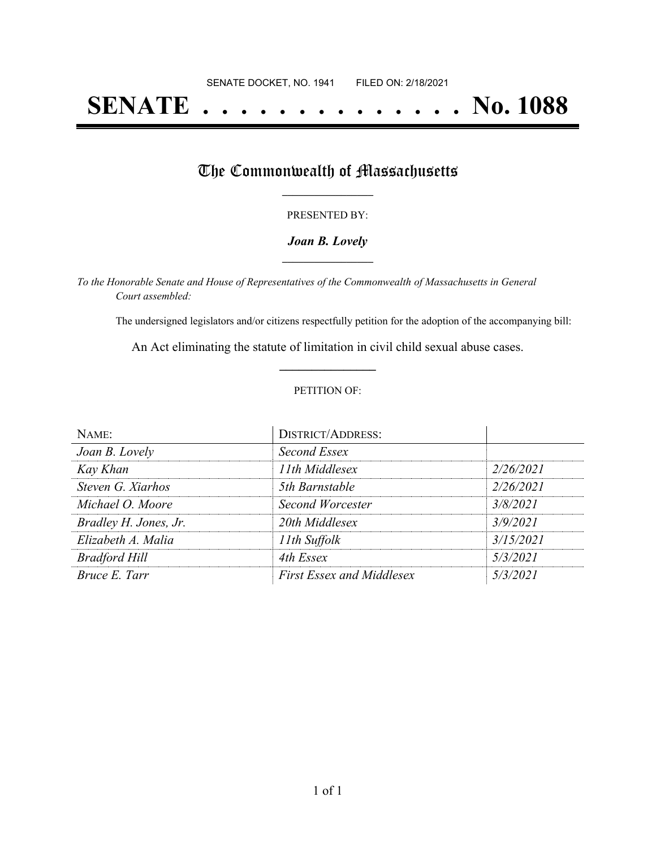# **SENATE . . . . . . . . . . . . . . No. 1088**

## The Commonwealth of Massachusetts

#### PRESENTED BY:

#### *Joan B. Lovely* **\_\_\_\_\_\_\_\_\_\_\_\_\_\_\_\_\_**

*To the Honorable Senate and House of Representatives of the Commonwealth of Massachusetts in General Court assembled:*

The undersigned legislators and/or citizens respectfully petition for the adoption of the accompanying bill:

An Act eliminating the statute of limitation in civil child sexual abuse cases. **\_\_\_\_\_\_\_\_\_\_\_\_\_\_\_**

#### PETITION OF:

| NAME:                 | <b>DISTRICT/ADDRESS:</b>         |           |
|-----------------------|----------------------------------|-----------|
| Joan B. Lovely        | Second Essex                     |           |
| Kay Khan              | 11th Middlesex                   | 2/26/2021 |
| Steven G. Xiarhos     | 5th Barnstable                   | 2/26/2021 |
| Michael O. Moore      | Second Worcester                 | 3/8/2021  |
| Bradley H. Jones, Jr. | 20th Middlesex                   | 3/9/2021  |
| Elizabeth A. Malia    | 11th Suffolk                     | 3/15/2021 |
| <b>Bradford Hill</b>  | 4th Essex                        | 5/3/2021  |
| Bruce E. Tarr         | <b>First Essex and Middlesex</b> | 5/3/2021  |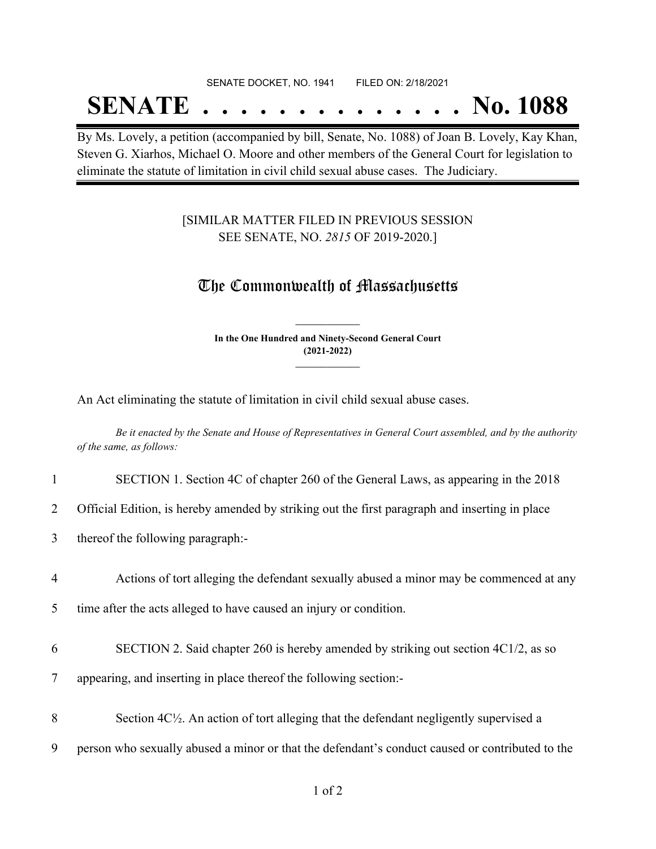#### SENATE DOCKET, NO. 1941 FILED ON: 2/18/2021

## **SENATE . . . . . . . . . . . . . . No. 1088**

By Ms. Lovely, a petition (accompanied by bill, Senate, No. 1088) of Joan B. Lovely, Kay Khan, Steven G. Xiarhos, Michael O. Moore and other members of the General Court for legislation to eliminate the statute of limitation in civil child sexual abuse cases. The Judiciary.

### [SIMILAR MATTER FILED IN PREVIOUS SESSION SEE SENATE, NO. *2815* OF 2019-2020.]

### The Commonwealth of Massachusetts

**In the One Hundred and Ninety-Second General Court (2021-2022) \_\_\_\_\_\_\_\_\_\_\_\_\_\_\_**

**\_\_\_\_\_\_\_\_\_\_\_\_\_\_\_**

An Act eliminating the statute of limitation in civil child sexual abuse cases.

Be it enacted by the Senate and House of Representatives in General Court assembled, and by the authority *of the same, as follows:*

| SECTION 1. Section 4C of chapter 260 of the General Laws, as appearing in the 2018 |  |  |  |  |
|------------------------------------------------------------------------------------|--|--|--|--|
|                                                                                    |  |  |  |  |

2 Official Edition, is hereby amended by striking out the first paragraph and inserting in place

3 thereof the following paragraph:-

#### 4 Actions of tort alleging the defendant sexually abused a minor may be commenced at any

5 time after the acts alleged to have caused an injury or condition.

- 6 SECTION 2. Said chapter 260 is hereby amended by striking out section 4C1/2, as so
- 7 appearing, and inserting in place thereof the following section:-
- 8 Section 4C<sup>1</sup>/<sub>2</sub>. An action of tort alleging that the defendant negligently supervised a
- 9 person who sexually abused a minor or that the defendant's conduct caused or contributed to the